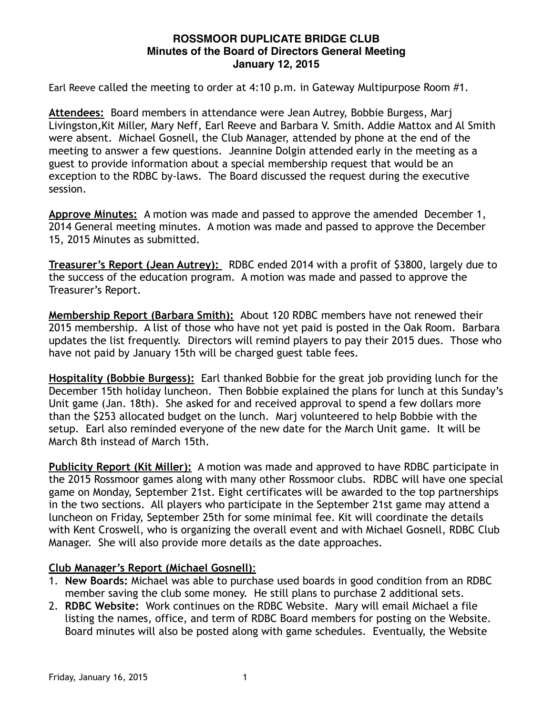# **ROSSMOOR DUPLICATE BRIDGE CLUB Minutes of the Board of Directors General Meeting January 12, 2015**

Earl Reeve called the meeting to order at 4:10 p.m. in Gateway Multipurpose Room #1.

**Attendees:** Board members in attendance were Jean Autrey, Bobbie Burgess, Marj Livingston,Kit Miller, Mary Neff, Earl Reeve and Barbara V. Smith. Addie Mattox and Al Smith were absent. Michael Gosnell, the Club Manager, attended by phone at the end of the meeting to answer a few questions. Jeannine Dolgin attended early in the meeting as a guest to provide information about a special membership request that would be an exception to the RDBC by-laws. The Board discussed the request during the executive session.

**Approve Minutes:** A motion was made and passed to approve the amended December 1, 2014 General meeting minutes. A motion was made and passed to approve the December 15, 2015 Minutes as submitted.

**Treasurer's Report (Jean Autrey):** RDBC ended 2014 with a profit of \$3800, largely due to the success of the education program. A motion was made and passed to approve the Treasurer's Report.

**Membership Report (Barbara Smith):** About 120 RDBC members have not renewed their 2015 membership. A list of those who have not yet paid is posted in the Oak Room. Barbara updates the list frequently. Directors will remind players to pay their 2015 dues. Those who have not paid by January 15th will be charged guest table fees.

**Hospitality (Bobbie Burgess):** Earl thanked Bobbie for the great job providing lunch for the December 15th holiday luncheon. Then Bobbie explained the plans for lunch at this Sunday's Unit game (Jan. 18th). She asked for and received approval to spend a few dollars more than the \$253 allocated budget on the lunch. Marj volunteered to help Bobbie with the setup. Earl also reminded everyone of the new date for the March Unit game. It will be March 8th instead of March 15th.

**Publicity Report (Kit Miller):** A motion was made and approved to have RDBC participate in the 2015 Rossmoor games along with many other Rossmoor clubs. RDBC will have one special game on Monday, September 21st. Eight certificates will be awarded to the top partnerships in the two sections. All players who participate in the September 21st game may attend a luncheon on Friday, September 25th for some minimal fee. Kit will coordinate the details with Kent Croswell, who is organizing the overall event and with Michael Gosnell, RDBC Club Manager. She will also provide more details as the date approaches.

# **Club Manager's Report (Michael Gosnell)**:

- 1. **New Boards:** Michael was able to purchase used boards in good condition from an RDBC member saving the club some money. He still plans to purchase 2 additional sets.
- 2. **RDBC Website:** Work continues on the RDBC Website. Mary will email Michael a file listing the names, office, and term of RDBC Board members for posting on the Website. Board minutes will also be posted along with game schedules. Eventually, the Website